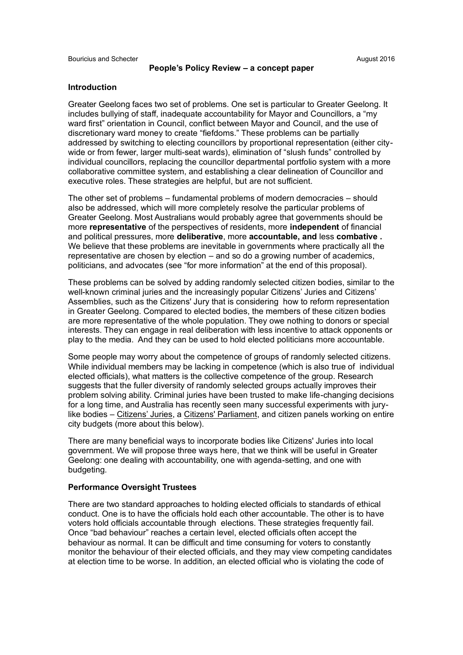#### **Introduction**

Greater Geelong faces two set of problems. One set is particular to Greater Geelong. It includes bullying of staff, inadequate accountability for Mayor and Councillors, a "my ward first" orientation in Council, conflict between Mayor and Council, and the use of discretionary ward money to create "fiefdoms." These problems can be partially addressed by switching to electing councillors by proportional representation (either citywide or from fewer, larger multi-seat wards), elimination of "slush funds" controlled by individual councillors, replacing the councillor departmental portfolio system with a more collaborative committee system, and establishing a clear delineation of Councillor and executive roles. These strategies are helpful, but are not sufficient.

The other set of problems – fundamental problems of modern democracies – should also be addressed, which will more completely resolve the particular problems of Greater Geelong. Most Australians would probably agree that governments should be more **representative** of the perspectives of residents, more **independent** of financial and political pressures, more **deliberative**, more **accountable, and** less **combative .**  We believe that these problems are inevitable in governments where practically all the representative are chosen by election – and so do a growing number of academics, politicians, and advocates (see "for more information" at the end of this proposal).

These problems can be solved by adding randomly selected citizen bodies, similar to the well-known criminal juries and the increasingly popular Citizens' Juries and Citizens' Assemblies, such as the Citizens' Jury that is considering how to reform representation in Greater Geelong. Compared to elected bodies, the members of these citizen bodies are more representative of the whole population. They owe nothing to donors or special interests. They can engage in real deliberation with less incentive to attack opponents or play to the media. And they can be used to hold elected politicians more accountable.

Some people may worry about the competence of groups of randomly selected citizens. While individual members may be lacking in competence (which is also true of individual elected officials), what matters is the collective competence of the group. Research suggests that the fuller diversity of randomly selected groups actually improves their problem solving ability. Criminal juries have been trusted to make life-changing decisions for a long time, and Australia has recently seen many successful experiments with jurylike bodies – Citizens' Juries, a Citizens' Parliament, and citizen panels working on entire city budgets (more about this below).

There are many beneficial ways to incorporate bodies like Citizens' Juries into local government. We will propose three ways here, that we think will be useful in Greater Geelong: one dealing with accountability, one with agenda-setting, and one with budgeting.

#### **Performance Oversight Trustees**

There are two standard approaches to holding elected officials to standards of ethical conduct. One is to have the officials hold each other accountable. The other is to have voters hold officials accountable through elections. These strategies frequently fail. Once "bad behaviour" reaches a certain level, elected officials often accept the behaviour as normal. It can be difficult and time consuming for voters to constantly monitor the behaviour of their elected officials, and they may view competing candidates at election time to be worse. In addition, an elected official who is violating the code of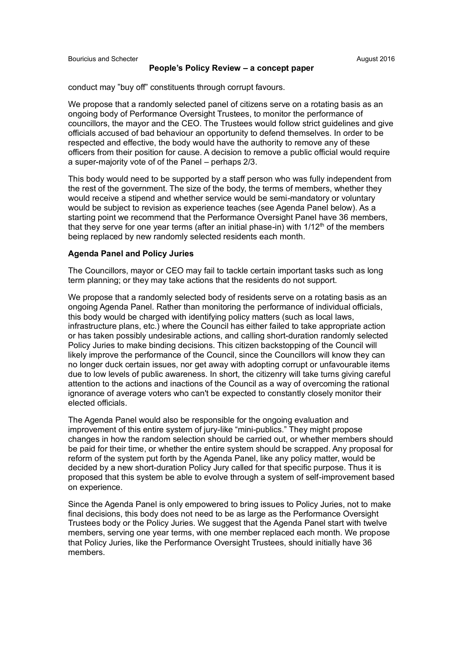#### **People's Policy Review – a concept paper**

conduct may "buy off" constituents through corrupt favours.

We propose that a randomly selected panel of citizens serve on a rotating basis as an ongoing body of Performance Oversight Trustees, to monitor the performance of councillors, the mayor and the CEO. The Trustees would follow strict guidelines and give officials accused of bad behaviour an opportunity to defend themselves. In order to be respected and effective, the body would have the authority to remove any of these officers from their position for cause. A decision to remove a public official would require a super-majority vote of of the Panel – perhaps 2/3.

This body would need to be supported by a staff person who was fully independent from the rest of the government. The size of the body, the terms of members, whether they would receive a stipend and whether service would be semi-mandatory or voluntary would be subject to revision as experience teaches (see Agenda Panel below). As a starting point we recommend that the Performance Oversight Panel have 36 members, that they serve for one year terms (after an initial phase-in) with  $1/12<sup>th</sup>$  of the members being replaced by new randomly selected residents each month.

#### **Agenda Panel and Policy Juries**

The Councillors, mayor or CEO may fail to tackle certain important tasks such as long term planning; or they may take actions that the residents do not support.

We propose that a randomly selected body of residents serve on a rotating basis as an ongoing Agenda Panel. Rather than monitoring the performance of individual officials, this body would be charged with identifying policy matters (such as local laws, infrastructure plans, etc.) where the Council has either failed to take appropriate action or has taken possibly undesirable actions, and calling short-duration randomly selected Policy Juries to make binding decisions. This citizen backstopping of the Council will likely improve the performance of the Council, since the Councillors will know they can no longer duck certain issues, nor get away with adopting corrupt or unfavourable items due to low levels of public awareness. In short, the citizenry will take turns giving careful attention to the actions and inactions of the Council as a way of overcoming the rational ignorance of average voters who can't be expected to constantly closely monitor their elected officials.

The Agenda Panel would also be responsible for the ongoing evaluation and improvement of this entire system of jury-like "mini-publics." They might propose changes in how the random selection should be carried out, or whether members should be paid for their time, or whether the entire system should be scrapped. Any proposal for reform of the system put forth by the Agenda Panel, like any policy matter, would be decided by a new short-duration Policy Jury called for that specific purpose. Thus it is proposed that this system be able to evolve through a system of self-improvement based on experience.

Since the Agenda Panel is only empowered to bring issues to Policy Juries, not to make final decisions, this body does not need to be as large as the Performance Oversight Trustees body or the Policy Juries. We suggest that the Agenda Panel start with twelve members, serving one year terms, with one member replaced each month. We propose that Policy Juries, like the Performance Oversight Trustees, should initially have 36 members.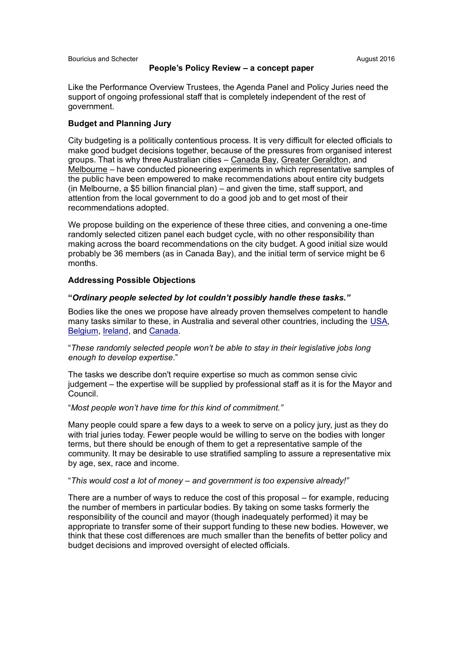#### **People's Policy Review – a concept paper**

Like the Performance Overview Trustees, the Agenda Panel and Policy Juries need the support of ongoing professional staff that is completely independent of the rest of government.

## **Budget and Planning Jury**

City budgeting is a politically contentious process. It is very difficult for elected officials to make good budget decisions together, because of the pressures from organised interest groups. That is why three Australian cities – Canada Bay, Greater Geraldton, and Melbourne – have conducted pioneering experiments in which representative samples of the public have been empowered to make recommendations about entire city budgets (in Melbourne, a \$5 billion financial plan) – and given the time, staff support, and attention from the local government to do a good job and to get most of their recommendations adopted.

We propose building on the experience of these three cities, and convening a one-time randomly selected citizen panel each budget cycle, with no other responsibility than making across the board recommendations on the city budget. A good initial size would probably be 36 members (as in Canada Bay), and the initial term of service might be 6 months.

#### **Addressing Possible Objections**

#### **"***Ordinary people selected by lot couldn't possibly handle these tasks."*

Bodies like the ones we propose have already proven themselves competent to handle many tasks similar to these, in Australia and several other countries, including the USA, Belgium, Ireland, and Canada.

"*These randomly selected people won't be able to stay in their legislative jobs long enough to develop expertise*."

The tasks we describe don't require expertise so much as common sense civic judgement – the expertise will be supplied by professional staff as it is for the Mayor and Council.

#### "*Most people won't have time for this kind of commitment."*

Many people could spare a few days to a week to serve on a policy jury, just as they do with trial juries today. Fewer people would be willing to serve on the bodies with longer terms, but there should be enough of them to get a representative sample of the community. It may be desirable to use stratified sampling to assure a representative mix by age, sex, race and income.

#### "*This would cost a lot of money – and government is too expensive already!"*

There are a number of ways to reduce the cost of this proposal – for example, reducing the number of members in particular bodies. By taking on some tasks formerly the responsibility of the council and mayor (though inadequately performed) it may be appropriate to transfer some of their support funding to these new bodies. However, we think that these cost differences are much smaller than the benefits of better policy and budget decisions and improved oversight of elected officials.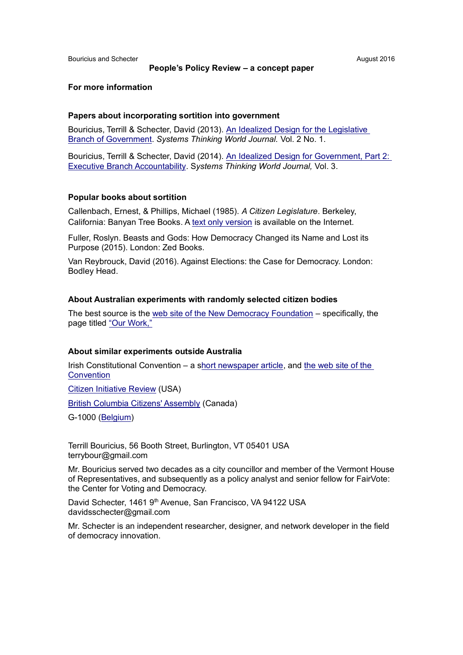#### **People's Policy Review – a concept paper**

#### **For more information**

#### **Papers about incorporating sortition into government**

Bouricius, Terrill & Schecter, David (2013). An Idealized Design for the Legislative Branch of Government. *Systems Thinking World Journal.* Vol. 2 No. 1.

Bouricius, Terrill & Schecter, David (2014). An Idealized Design for Government, Part 2: Executive Branch Accountability. S*ystems Thinking World Journal,* Vol. 3.

#### **Popular books about sortition**

Callenbach, Ernest, & Phillips, Michael (1985). *A Citizen Legislature*. Berkeley, California: Banyan Tree Books. A text only version is available on the Internet.

Fuller, Roslyn. Beasts and Gods: How Democracy Changed its Name and Lost its Purpose (2015). London: Zed Books.

Van Reybrouck, David (2016). Against Elections: the Case for Democracy. London: Bodley Head.

#### **About Australian experiments with randomly selected citizen bodies**

The best source is the web site of the New Democracy Foundation – specifically, the page titled "Our Work,"

#### **About similar experiments outside Australia**

Irish Constitutional Convention – a short newspaper article, and the web site of the **Convention** 

Citizen Initiative Review (USA)

British Columbia Citizens' Assembly (Canada)

G-1000 (Belgium)

Terrill Bouricius, 56 Booth Street, Burlington, VT 05401 USA terrybour@gmail.com

Mr. Bouricius served two decades as a city councillor and member of the Vermont House of Representatives, and subsequently as a policy analyst and senior fellow for FairVote: the Center for Voting and Democracy.

David Schecter, 1461 9<sup>th</sup> Avenue, San Francisco, VA 94122 USA davidsschecter@gmail.com

Mr. Schecter is an independent researcher, designer, and network developer in the field of democracy innovation.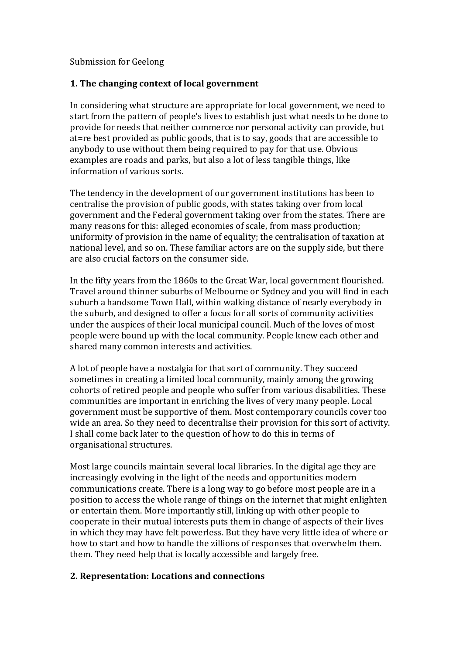# Submission for Geelong

# **1. The changing context of local government**

In considering what structure are appropriate for local government, we need to start from the pattern of people's lives to establish just what needs to be done to provide for needs that neither commerce nor personal activity can provide, but at=re best provided as public goods, that is to say, goods that are accessible to anybody to use without them being required to pay for that use. Obvious examples are roads and parks, but also a lot of less tangible things, like information of various sorts.

The tendency in the development of our government institutions has been to centralise the provision of public goods, with states taking over from local government and the Federal government taking over from the states. There are many reasons for this: alleged economies of scale, from mass production; uniformity of provision in the name of equality; the centralisation of taxation at national level, and so on. These familiar actors are on the supply side, but there are also crucial factors on the consumer side.

In the fifty years from the 1860s to the Great War, local government flourished. Travel around thinner suburbs of Melbourne or Sydney and you will find in each suburb a handsome Town Hall, within walking distance of nearly everybody in the suburb, and designed to offer a focus for all sorts of community activities under the auspices of their local municipal council. Much of the loves of most people were bound up with the local community. People knew each other and shared many common interests and activities.

A lot of people have a nostalgia for that sort of community. They succeed sometimes in creating a limited local community, mainly among the growing cohorts of retired people and people who suffer from various disabilities. These communities are important in enriching the lives of very many people. Local government must be supportive of them. Most contemporary councils cover too wide an area. So they need to decentralise their provision for this sort of activity. I shall come back later to the question of how to do this in terms of organisational structures.

Most large councils maintain several local libraries. In the digital age they are increasingly evolving in the light of the needs and opportunities modern communications create. There is a long way to go before most people are in a position to access the whole range of things on the internet that might enlighten or entertain them. More importantly still, linking up with other people to cooperate in their mutual interests puts them in change of aspects of their lives in which they may have felt powerless. But they have very little idea of where or how to start and how to handle the zillions of responses that overwhelm them. them. They need help that is locally accessible and largely free.

# **2. Representation: Locations and connections**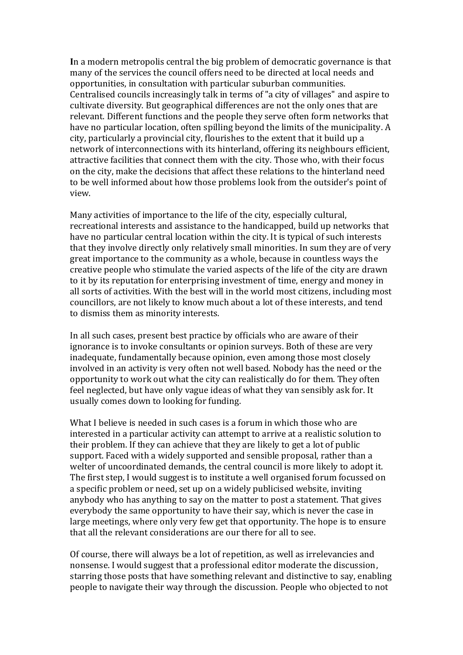**I**n a modern metropolis central the big problem of democratic governance is that many of the services the council offers need to be directed at local needs and opportunities, in consultation with particular suburban communities. Centralised councils increasingly talk in terms of "a city of villages" and aspire to cultivate diversity. But geographical differences are not the only ones that are relevant. Different functions and the people they serve often form networks that have no particular location, often spilling beyond the limits of the municipality. A city, particularly a provincial city, flourishes to the extent that it build up a network of interconnections with its hinterland, offering its neighbours efficient, attractive facilities that connect them with the city. Those who, with their focus on the city, make the decisions that affect these relations to the hinterland need to be well informed about how those problems look from the outsider's point of view.

Many activities of importance to the life of the city, especially cultural, recreational interests and assistance to the handicapped, build up networks that have no particular central location within the city. It is typical of such interests that they involve directly only relatively small minorities. In sum they are of very great importance to the community as a whole, because in countless ways the creative people who stimulate the varied aspects of the life of the city are drawn to it by its reputation for enterprising investment of time, energy and money in all sorts of activities. With the best will in the world most citizens, including most councillors, are not likely to know much about a lot of these interests, and tend to dismiss them as minority interests.

In all such cases, present best practice by officials who are aware of their ignorance is to invoke consultants or opinion surveys. Both of these are very inadequate, fundamentally because opinion, even among those most closely involved in an activity is very often not well based. Nobody has the need or the opportunity to work out what the city can realistically do for them. They often feel neglected, but have only vague ideas of what they van sensibly ask for. It usually comes down to looking for funding.

What I believe is needed in such cases is a forum in which those who are interested in a particular activity can attempt to arrive at a realistic solution to their problem. If they can achieve that they are likely to get a lot of public support. Faced with a widely supported and sensible proposal, rather than a welter of uncoordinated demands, the central council is more likely to adopt it. The first step, I would suggest is to institute a well organised forum focussed on a specific problem or need, set up on a widely publicised website, inviting anybody who has anything to say on the matter to post a statement. That gives everybody the same opportunity to have their say, which is never the case in large meetings, where only very few get that opportunity. The hope is to ensure that all the relevant considerations are our there for all to see.

Of course, there will always be a lot of repetition, as well as irrelevancies and nonsense. I would suggest that a professional editor moderate the discussion, starring those posts that have something relevant and distinctive to say, enabling people to navigate their way through the discussion. People who objected to not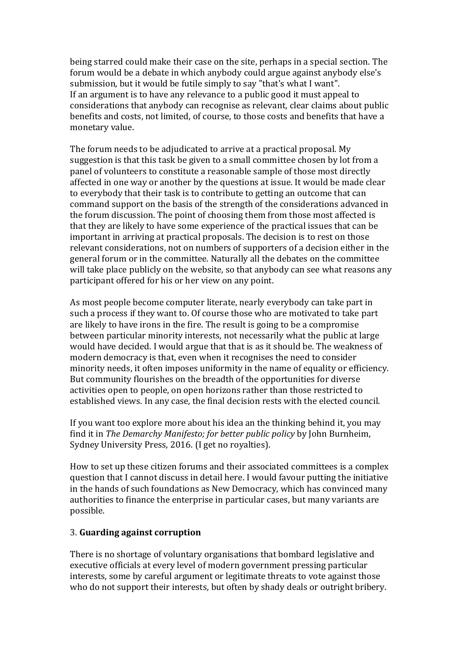being starred could make their case on the site, perhaps in a special section. The forum would be a debate in which anybody could argue against anybody else's submission, but it would be futile simply to say "that's what I want". If an argument is to have any relevance to a public good it must appeal to considerations that anybody can recognise as relevant, clear claims about public benefits and costs, not limited, of course, to those costs and benefits that have a monetary value.

The forum needs to be adjudicated to arrive at a practical proposal. My suggestion is that this task be given to a small committee chosen by lot from a panel of volunteers to constitute a reasonable sample of those most directly affected in one way or another by the questions at issue. It would be made clear to everybody that their task is to contribute to getting an outcome that can command support on the basis of the strength of the considerations advanced in the forum discussion. The point of choosing them from those most affected is that they are likely to have some experience of the practical issues that can be important in arriving at practical proposals. The decision is to rest on those relevant considerations, not on numbers of supporters of a decision either in the general forum or in the committee. Naturally all the debates on the committee will take place publicly on the website, so that anybody can see what reasons any participant offered for his or her view on any point.

As most people become computer literate, nearly everybody can take part in such a process if they want to. Of course those who are motivated to take part are likely to have irons in the fire. The result is going to be a compromise between particular minority interests, not necessarily what the public at large would have decided. I would argue that that is as it should be. The weakness of modern democracy is that, even when it recognises the need to consider minority needs, it often imposes uniformity in the name of equality or efficiency. But community flourishes on the breadth of the opportunities for diverse activities open to people, on open horizons rather than those restricted to established views. In any case, the final decision rests with the elected council.

If you want too explore more about his idea an the thinking behind it, you may find it in *The Demarchy Manifesto; for better public policy* by John Burnheim, Sydney University Press, 2016. (I get no royalties).

How to set up these citizen forums and their associated committees is a complex question that I cannot discuss in detail here. I would favour putting the initiative in the hands of such foundations as New Democracy, which has convinced many authorities to finance the enterprise in particular cases, but many variants are possible.

# 3. **Guarding against corruption**

There is no shortage of voluntary organisations that bombard legislative and executive officials at every level of modern government pressing particular interests, some by careful argument or legitimate threats to vote against those who do not support their interests, but often by shady deals or outright bribery.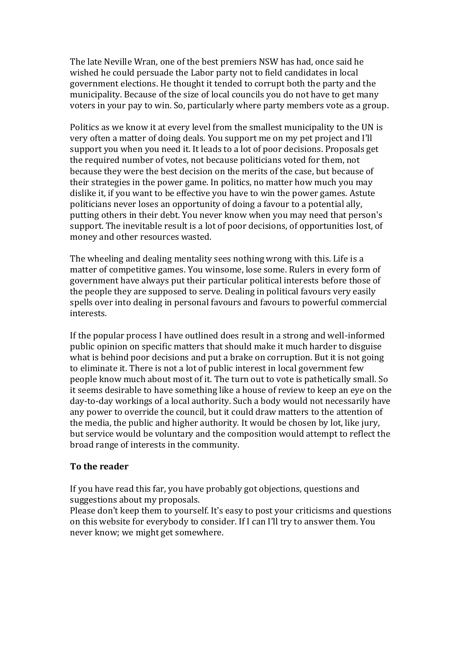The late Neville Wran, one of the best premiers NSW has had, once said he wished he could persuade the Labor party not to field candidates in local government elections. He thought it tended to corrupt both the party and the municipality. Because of the size of local councils you do not have to get many voters in your pay to win. So, particularly where party members vote as a group.

Politics as we know it at every level from the smallest municipality to the UN is very often a matter of doing deals. You support me on my pet project and I'll support you when you need it. It leads to a lot of poor decisions. Proposals get the required number of votes, not because politicians voted for them, not because they were the best decision on the merits of the case, but because of their strategies in the power game. In politics, no matter how much you may dislike it, if you want to be effective you have to win the power games. Astute politicians never loses an opportunity of doing a favour to a potential ally, putting others in their debt. You never know when you may need that person's support. The inevitable result is a lot of poor decisions, of opportunities lost, of money and other resources wasted.

The wheeling and dealing mentality sees nothing wrong with this. Life is a matter of competitive games. You winsome, lose some. Rulers in every form of government have always put their particular political interests before those of the people they are supposed to serve. Dealing in political favours very easily spells over into dealing in personal favours and favours to powerful commercial interests.

If the popular process I have outlined does result in a strong and well-informed public opinion on specific matters that should make it much harder to disguise what is behind poor decisions and put a brake on corruption. But it is not going to eliminate it. There is not a lot of public interest in local government few people know much about most of it. The turn out to vote is pathetically small. So it seems desirable to have something like a house of review to keep an eye on the day-to-day workings of a local authority. Such a body would not necessarily have any power to override the council, but it could draw matters to the attention of the media, the public and higher authority. It would be chosen by lot, like jury, but service would be voluntary and the composition would attempt to reflect the broad range of interests in the community.

# **To the reader**

If you have read this far, you have probably got objections, questions and suggestions about my proposals.

Please don't keep them to yourself. It's easy to post your criticisms and questions on this website for everybody to consider. If I can I'll try to answer them. You never know; we might get somewhere.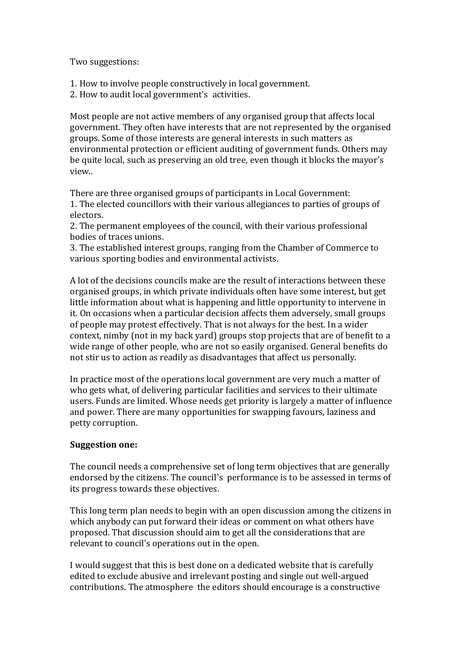Two suggestions:

1. How to involve people constructively in local government.

2. How to audit local government's activities.

Most people are not active members of any organised group that affects local government. They often have interests that are not represented by the organised groups. Some of those interests are general interests in such matters as environmental protection or efficient auditing of government funds. Others may be quite local, such as preserving an old tree, even though it blocks the mayor's view..

There are three organised groups of participants in Local Government: 1. The elected councillors with their various allegiances to parties of groups of electors.

2. The permanent employees of the council, with their various professional bodies of traces unions.

3. The established interest groups, ranging from the Chamber of Commerce to various sporting bodies and environmental activists.

A lot of the decisions councils make are the result of interactions between these organised groups, in which private individuals often have some interest, but get little information about what is happening and little opportunity to intervene in it. On occasions when a particular decision affects them adversely, small groups of people may protest effectively. That is not always for the best. In a wider context, nimby (not in my back yard) groups stop projects that are of benefit to a wide range of other people, who are not so easily organised. General benefits do not stir us to action as readily as disadvantages that affect us personally.

In practice most of the operations local government are very much a matter of who gets what, of delivering particular facilities and services to their ultimate users. Funds are limited. Whose needs get priority is largely a matter of influence and power. There are many opportunities for swapping favours, laziness and petty corruption.

# **Suggestion one:**

The council needs a comprehensive set of long term objectives that are generally endorsed by the citizens. The council's performance is to be assessed in terms of its progress towards these objectives.

This long term plan needs to begin with an open discussion among the citizens in which anybody can put forward their ideas or comment on what others have proposed. That discussion should aim to get all the considerations that are relevant to council's operations out in the open.

I would suggest that this is best done on a dedicated website that is carefully edited to exclude abusive and irrelevant posting and single out well-argued contributions. The atmosphere the editors should encourage is a constructive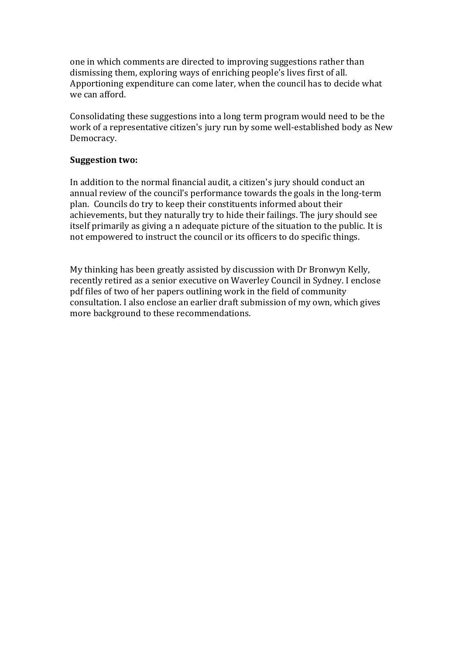one in which comments are directed to improving suggestions rather than dismissing them, exploring ways of enriching people's lives first of all. Apportioning expenditure can come later, when the council has to decide what we can afford.

Consolidating these suggestions into a long term program would need to be the work of a representative citizen's jury run by some well-established body as New Democracy.

## **Suggestion two:**

In addition to the normal financial audit, a citizen's jury should conduct an annual review of the council's performance towards the goals in the long-term plan. Councils do try to keep their constituents informed about their achievements, but they naturally try to hide their failings. The jury should see itself primarily as giving a n adequate picture of the situation to the public. It is not empowered to instruct the council or its officers to do specific things.

My thinking has been greatly assisted by discussion with Dr Bronwyn Kelly, recently retired as a senior executive on Waverley Council in Sydney. I enclose pdf files of two of her papers outlining work in the field of community consultation. I also enclose an earlier draft submission of my own, which gives more background to these recommendations.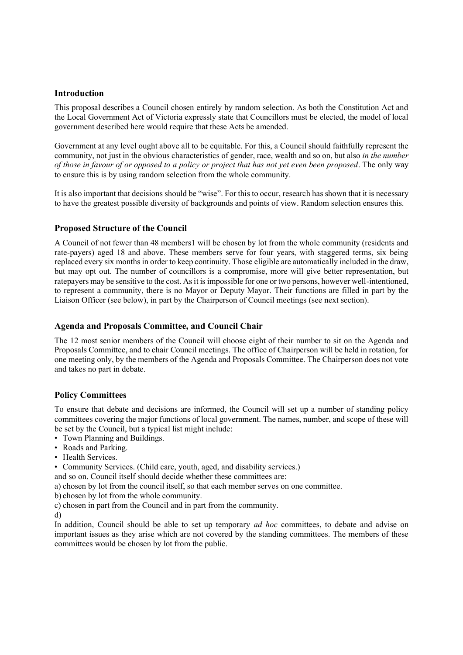## **Introduction**

This proposal describes a Council chosen entirely by random selection. As both the Constitution Act and the Local Government Act of Victoria expressly state that Councillors must be elected, the model of local government described here would require that these Acts be amended.

Government at any level ought above all to be equitable. For this, a Council should faithfully represent the community, not just in the obvious characteristics of gender, race, wealth and so on, but also *in the number of those in favour of or opposed to a policy or project that has not yet even been proposed*. The only way to ensure this is by using random selection from the whole community.

It is also important that decisions should be "wise". For this to occur, research has shown that it is necessary to have the greatest possible diversity of backgrounds and points of view. Random selection ensures this.

## **Proposed Structure of the Council**

A Council of not fewer than 48 members1 will be chosen by lot from the whole community (residents and rate-payers) aged 18 and above. These members serve for four years, with staggered terms, six being replaced every six months in order to keep continuity. Those eligible are automatically included in the draw, but may opt out. The number of councillors is a compromise, more will give better representation, but ratepayers may be sensitive to the cost. As it is impossible for one or two persons, however well-intentioned, to represent a community, there is no Mayor or Deputy Mayor. Their functions are filled in part by the Liaison Officer (see below), in part by the Chairperson of Council meetings (see next section).

## **Agenda and Proposals Committee, and Council Chair**

The 12 most senior members of the Council will choose eight of their number to sit on the Agenda and Proposals Committee, and to chair Council meetings. The office of Chairperson will be held in rotation, for one meeting only, by the members of the Agenda and Proposals Committee. The Chairperson does not vote and takes no part in debate.

#### **Policy Committees**

To ensure that debate and decisions are informed, the Council will set up a number of standing policy committees covering the major functions of local government. The names, number, and scope of these will be set by the Council, but a typical list might include:

- Town Planning and Buildings.
- Roads and Parking.
- Health Services.
- Community Services. (Child care, youth, aged, and disability services.)

and so on. Council itself should decide whether these committees are:

a) chosen by lot from the council itself, so that each member serves on one committee.

b) chosen by lot from the whole community.

c) chosen in part from the Council and in part from the community.

d)

In addition, Council should be able to set up temporary *ad hoc* committees, to debate and advise on important issues as they arise which are not covered by the standing committees. The members of these committees would be chosen by lot from the public.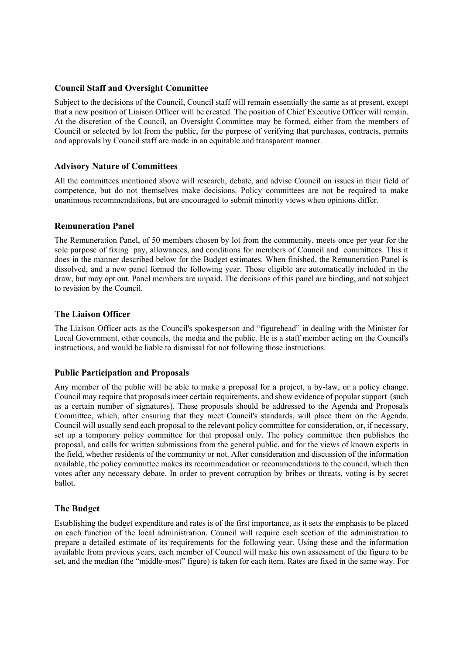## **Council Staff and Oversight Committee**

Subject to the decisions of the Council, Council staff will remain essentially the same as at present, except that a new position of Liaison Officer will be created. The position of Chief Executive Officer will remain. At the discretion of the Council, an Oversight Committee may be formed, either from the members of Council or selected by lot from the public, for the purpose of verifying that purchases, contracts, permits and approvals by Council staff are made in an equitable and transparent manner.

#### **Advisory Nature of Committees**

All the committees mentioned above will research, debate, and advise Council on issues in their field of competence, but do not themselves make decisions. Policy committees are not be required to make unanimous recommendations, but are encouraged to submit minority views when opinions differ.

#### **Remuneration Panel**

The Remuneration Panel, of 50 members chosen by lot from the community, meets once per year for the sole purpose of fixing pay, allowances, and conditions for members of Council and committees. This it does in the manner described below for the Budget estimates. When finished, the Remuneration Panel is dissolved, and a new panel formed the following year. Those eligible are automatically included in the draw, but may opt out. Panel members are unpaid. The decisions of this panel are binding, and not subject to revision by the Council.

## **The Liaison Officer**

The Liaison Officer acts as the Council's spokesperson and "figurehead" in dealing with the Minister for Local Government, other councils, the media and the public. He is a staff member acting on the Council's instructions, and would be liable to dismissal for not following those instructions.

## **Public Participation and Proposals**

Any member of the public will be able to make a proposal for a project, a by-law, or a policy change. Council may require that proposals meet certain requirements, and show evidence of popular support (such as a certain number of signatures). These proposals should be addressed to the Agenda and Proposals Committee, which, after ensuring that they meet Council's standards, will place them on the Agenda. Council will usually send each proposal to the relevant policy committee for consideration, or, if necessary, set up a temporary policy committee for that proposal only. The policy committee then publishes the proposal, and calls for written submissions from the general public, and for the views of known experts in the field, whether residents of the community or not. After consideration and discussion of the information available, the policy committee makes its recommendation or recommendations to the council, which then votes after any necessary debate. In order to prevent corruption by bribes or threats, voting is by secret ballot.

## **The Budget**

Establishing the budget expenditure and rates is of the first importance, as it sets the emphasis to be placed on each function of the local administration. Council will require each section of the administration to prepare a detailed estimate of its requirements for the following year. Using these and the information available from previous years, each member of Council will make his own assessment of the figure to be set, and the median (the "middle-most" figure) is taken for each item. Rates are fixed in the same way. For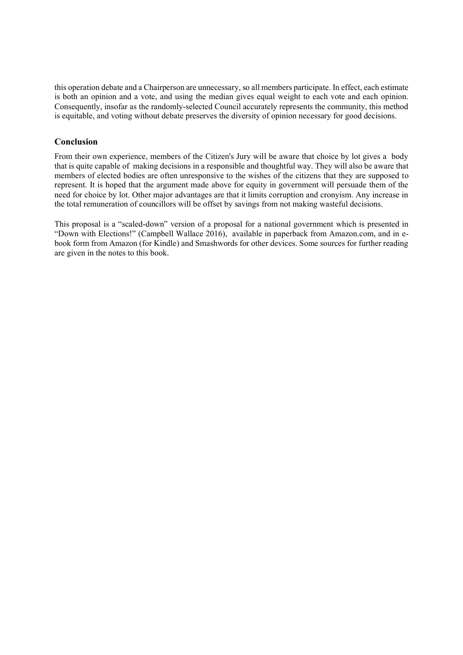this operation debate and a Chairperson are unnecessary, so all members participate. In effect, each estimate is both an opinion and a vote, and using the median gives equal weight to each vote and each opinion. Consequently, insofar as the randomly-selected Council accurately represents the community, this method is equitable, and voting without debate preserves the diversity of opinion necessary for good decisions.

## **Conclusion**

From their own experience, members of the Citizen's Jury will be aware that choice by lot gives a body that is quite capable of making decisions in a responsible and thoughtful way. They will also be aware that members of elected bodies are often unresponsive to the wishes of the citizens that they are supposed to represent. It is hoped that the argument made above for equity in government will persuade them of the need for choice by lot. Other major advantages are that it limits corruption and cronyism. Any increase in the total remuneration of councillors will be offset by savings from not making wasteful decisions.

This proposal is a "scaled-down" version of a proposal for a national government which is presented in "Down with Elections!" (Campbell Wallace 2016), available in paperback from Amazon.com, and in ebook form from Amazon (for Kindle) and Smashwords for other devices. Some sources for further reading are given in the notes to this book.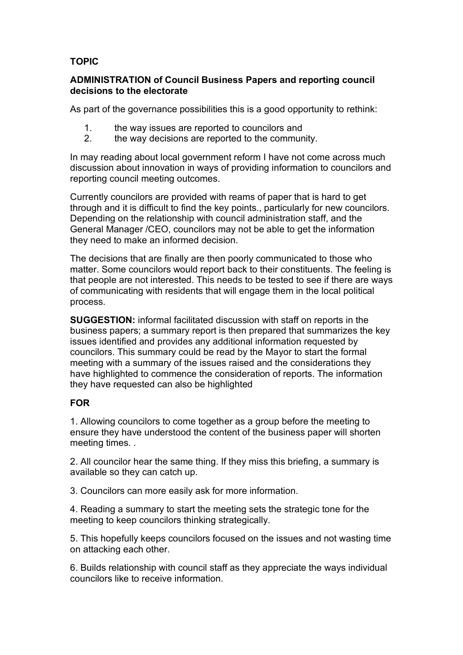# **TOPIC**

# **ADMINISTRATION of Council Business Papers and reporting council decisions to the electorate**

As part of the governance possibilities this is a good opportunity to rethink:

- 1. the way issues are reported to councilors and
- 2. the way decisions are reported to the community.

In may reading about local government reform I have not come across much discussion about innovation in ways of providing information to councilors and reporting council meeting outcomes.

Currently councilors are provided with reams of paper that is hard to get through and it is difficult to find the key points., particularly for new councilors. Depending on the relationship with council administration staff, and the General Manager /CEO, councilors may not be able to get the information they need to make an informed decision.

The decisions that are finally are then poorly communicated to those who matter. Some councilors would report back to their constituents. The feeling is that people are not interested. This needs to be tested to see if there are ways of communicating with residents that will engage them in the local political process.

**SUGGESTION:** informal facilitated discussion with staff on reports in the business papers; a summary report is then prepared that summarizes the key issues identified and provides any additional information requested by councilors. This summary could be read by the Mayor to start the formal meeting with a summary of the issues raised and the considerations they have highlighted to commence the consideration of reports. The information they have requested can also be highlighted

# **FOR**

1. Allowing councilors to come together as a group before the meeting to ensure they have understood the content of the business paper will shorten meeting times. .

2. All councilor hear the same thing. If they miss this briefing, a summary is available so they can catch up.

3. Councilors can more easily ask for more information.

4. Reading a summary to start the meeting sets the strategic tone for the meeting to keep councilors thinking strategically.

5. This hopefully keeps councilors focused on the issues and not wasting time on attacking each other.

6. Builds relationship with council staff as they appreciate the ways individual councilors like to receive information.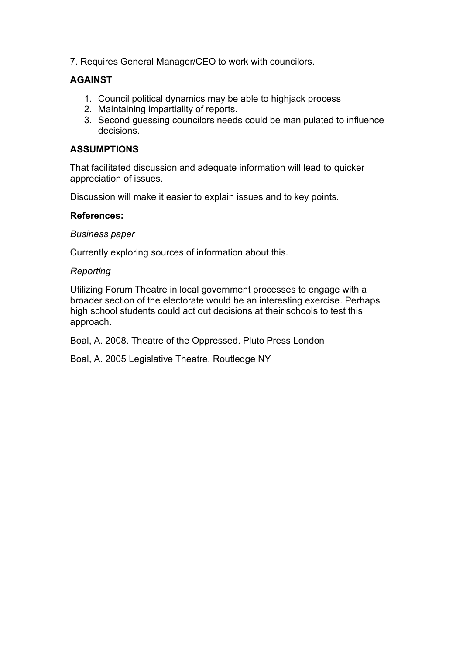7. Requires General Manager/CEO to work with councilors.

# **AGAINST**

- 1. Council political dynamics may be able to highjack process
- 2. Maintaining impartiality of reports.
- 3. Second guessing councilors needs could be manipulated to influence decisions.

# **ASSUMPTIONS**

That facilitated discussion and adequate information will lead to quicker appreciation of issues.

Discussion will make it easier to explain issues and to key points.

# **References:**

# *Business paper*

Currently exploring sources of information about this.

# *Reporting*

Utilizing Forum Theatre in local government processes to engage with a broader section of the electorate would be an interesting exercise. Perhaps high school students could act out decisions at their schools to test this approach.

Boal, A. 2008. Theatre of the Oppressed. Pluto Press London

Boal, A. 2005 Legislative Theatre. Routledge NY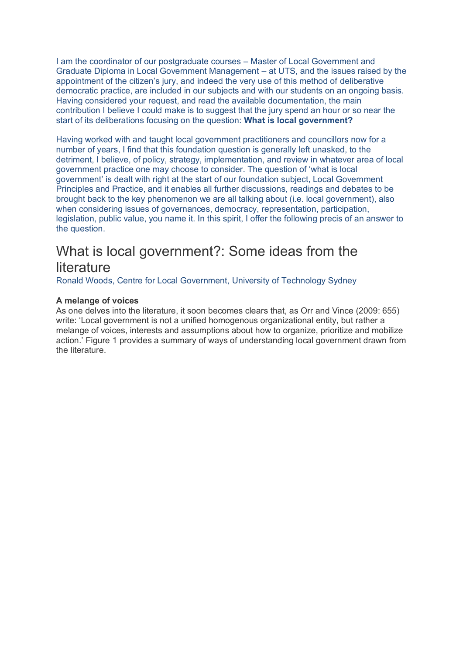I am the coordinator of our postgraduate courses – Master of Local Government and Graduate Diploma in Local Government Management – at UTS, and the issues raised by the appointment of the citizen's jury, and indeed the very use of this method of deliberative democratic practice, are included in our subjects and with our students on an ongoing basis. Having considered your request, and read the available documentation, the main contribution I believe I could make is to suggest that the jury spend an hour or so near the start of its deliberations focusing on the question: **What is local government?**

Having worked with and taught local government practitioners and councillors now for a number of years, I find that this foundation question is generally left unasked, to the detriment, I believe, of policy, strategy, implementation, and review in whatever area of local government practice one may choose to consider. The question of 'what is local government' is dealt with right at the start of our foundation subject, Local Government Principles and Practice, and it enables all further discussions, readings and debates to be brought back to the key phenomenon we are all talking about (i.e. local government), also when considering issues of governances, democracy, representation, participation, legislation, public value, you name it. In this spirit, I offer the following precis of an answer to the question.

# What is local government?: Some ideas from the **literature**

Ronald Woods, Centre for Local Government, University of Technology Sydney

## **A melange of voices**

As one delves into the literature, it soon becomes clears that, as Orr and Vince (2009: 655) write: 'Local government is not a unified homogenous organizational entity, but rather a melange of voices, interests and assumptions about how to organize, prioritize and mobilize action.' Figure 1 provides a summary of ways of understanding local government drawn from the literature.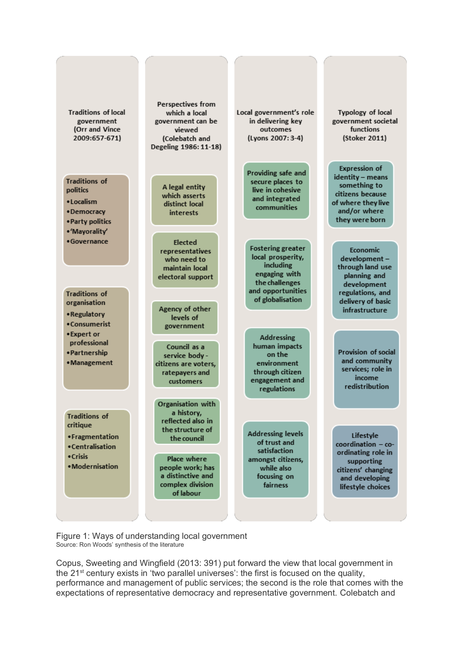

Figure 1: Ways of understanding local government Source: Ron Woods' synthesis of the literature

Copus, Sweeting and Wingfield (2013: 391) put forward the view that local government in the  $21<sup>st</sup>$  century exists in 'two parallel universes': the first is focused on the quality, performance and management of public services; the second is the role that comes with the expectations of representative democracy and representative government. Colebatch and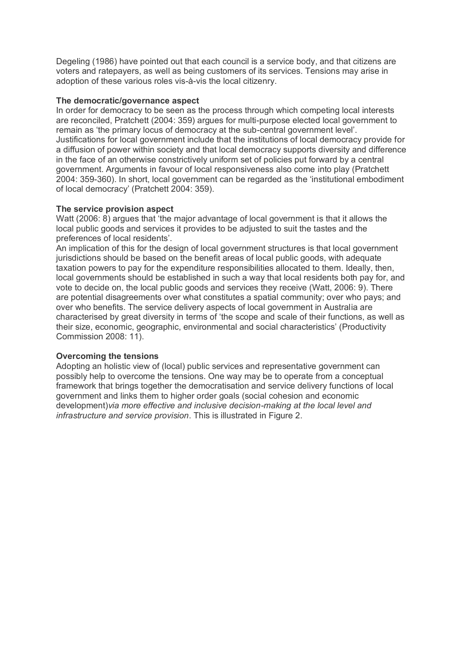Degeling (1986) have pointed out that each council is a service body, and that citizens are voters and ratepayers, as well as being customers of its services. Tensions may arise in adoption of these various roles vis-à-vis the local citizenry.

## **The democratic/governance aspect**

In order for democracy to be seen as the process through which competing local interests are reconciled, Pratchett (2004: 359) argues for multi-purpose elected local government to remain as 'the primary locus of democracy at the sub-central government level'. Justifications for local government include that the institutions of local democracy provide for a diffusion of power within society and that local democracy supports diversity and difference in the face of an otherwise constrictively uniform set of policies put forward by a central government. Arguments in favour of local responsiveness also come into play (Pratchett 2004: 359-360). In short, local government can be regarded as the 'institutional embodiment of local democracy' (Pratchett 2004: 359).

## **The service provision aspect**

Watt (2006: 8) argues that 'the major advantage of local government is that it allows the local public goods and services it provides to be adjusted to suit the tastes and the preferences of local residents'.

An implication of this for the design of local government structures is that local government jurisdictions should be based on the benefit areas of local public goods, with adequate taxation powers to pay for the expenditure responsibilities allocated to them. Ideally, then, local governments should be established in such a way that local residents both pay for, and vote to decide on, the local public goods and services they receive (Watt, 2006: 9). There are potential disagreements over what constitutes a spatial community; over who pays; and over who benefits. The service delivery aspects of local government in Australia are characterised by great diversity in terms of 'the scope and scale of their functions, as well as their size, economic, geographic, environmental and social characteristics' (Productivity Commission 2008: 11).

## **Overcoming the tensions**

Adopting an holistic view of (local) public services and representative government can possibly help to overcome the tensions. One way may be to operate from a conceptual framework that brings together the democratisation and service delivery functions of local government and links them to higher order goals (social cohesion and economic development)*via more effective and inclusive decision-making at the local level and infrastructure and service provision*. This is illustrated in Figure 2.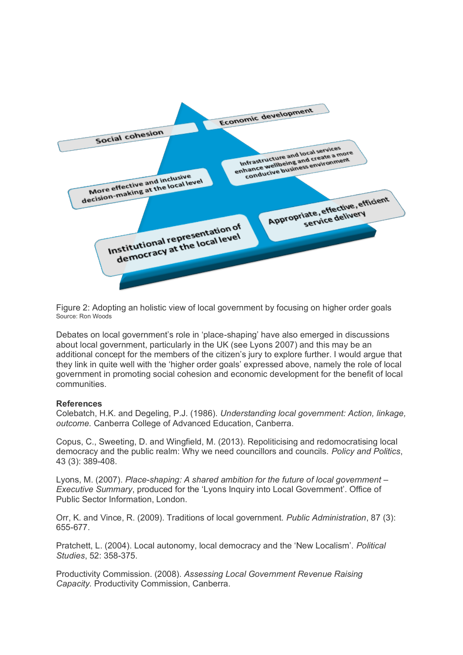

Figure 2: Adopting an holistic view of local government by focusing on higher order goals Source: Ron Woods

Debates on local government's role in 'place-shaping' have also emerged in discussions about local government, particularly in the UK (see Lyons 2007) and this may be an additional concept for the members of the citizen's jury to explore further. I would argue that they link in quite well with the 'higher order goals' expressed above, namely the role of local government in promoting social cohesion and economic development for the benefit of local communities.

#### **References**

Colebatch, H.K. and Degeling, P.J. (1986). *Understanding local government: Action, linkage, outcome.* Canberra College of Advanced Education, Canberra.

Copus, C., Sweeting, D. and Wingfield, M. (2013). Repoliticising and redomocratising local democracy and the public realm: Why we need councillors and councils. *Policy and Politics*, 43 (3): 389-408.

Lyons, M. (2007). *Place-shaping: A shared ambition for the future of local government – Executive Summary*, produced for the 'Lyons Inquiry into Local Government'. Office of Public Sector Information, London.

Orr, K. and Vince, R. (2009). Traditions of local government. *Public Administration*, 87 (3): 655-677.

Pratchett, L. (2004). Local autonomy, local democracy and the 'New Localism'. *Political Studies*, 52: 358-375.

Productivity Commission. (2008). *Assessing Local Government Revenue Raising Capacity.* Productivity Commission, Canberra.